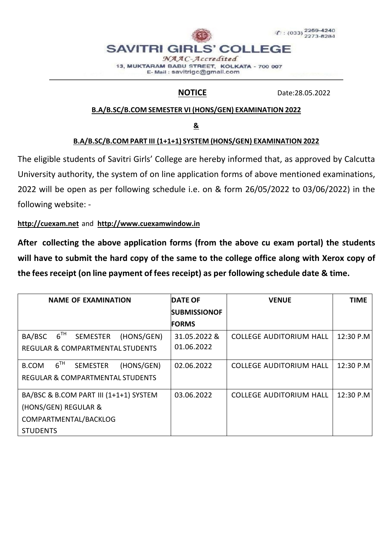

**NOTICE** Date:28.05.2022

#### **B.A/B.SC/B.COM SEMESTER VI (HONS/GEN) EXAMINATION 2022**

**&**

## **B.A/B.SC/B.COM PART III (1+1+1) SYSTEM (HONS/GEN) EXAMINATION 2022**

The eligible students of Savitri Girls' College are hereby informed that, as approved by Calcutta University authority, the system of on line application forms of above mentioned examinations, 2022 will be open as per following schedule i.e. on & form 26/05/2022 to 03/06/2022) in the following website: -

### **http://cuexam.net** and **http://www.cuexamwindow.in**

**After collecting the above application forms (from the above cu exam portal) the students will have to submit the hard copy of the same to the college office along with Xerox copy of the fees receipt (on line payment of fees receipt) as per following schedule date & time.** 

| <b>NAME OF EXAMINATION</b>                                | <b>DATE OF</b>      | <b>VENUE</b>                   | <b>TIME</b> |
|-----------------------------------------------------------|---------------------|--------------------------------|-------------|
|                                                           | <b>SUBMISSIONOF</b> |                                |             |
|                                                           | <b>FORMS</b>        |                                |             |
| $6^{TH}$<br>BA/BSC<br><b>SEMESTER</b><br>(HONS/GEN)       | 31.05.2022 &        | <b>COLLEGE AUDITORIUM HALL</b> | 12:30 P.M   |
| <b>REGULAR &amp; COMPARTMENTAL STUDENTS</b>               | 01.06.2022          |                                |             |
| $6^{TH}$<br>(HONS/GEN)<br><b>SEMESTER</b><br><b>B.COM</b> | 02.06.2022          | <b>COLLEGE AUDITORIUM HALL</b> | 12:30 P.M   |
| <b>REGULAR &amp; COMPARTMENTAL STUDENTS</b>               |                     |                                |             |
| BA/BSC & B.COM PART III (1+1+1) SYSTEM                    | 03.06.2022          | <b>COLLEGE AUDITORIUM HALL</b> | 12:30 P.M   |
| (HONS/GEN) REGULAR &                                      |                     |                                |             |
| COMPARTMENTAL/BACKLOG                                     |                     |                                |             |
| <b>STUDENTS</b>                                           |                     |                                |             |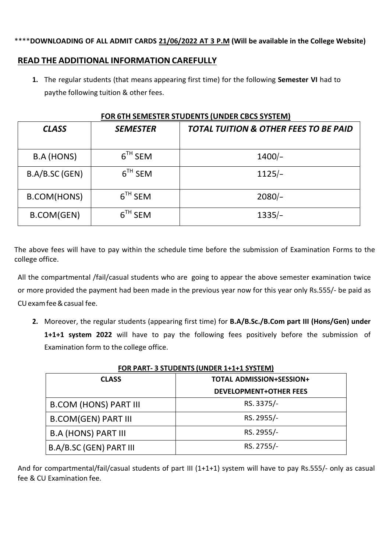#### \*\*\*\***DOWNLOADING OF ALL ADMIT CARDS 21/06/2022 AT 3 P.M (Will be available in the College Website)**

#### **READ THE ADDITIONAL INFORMATION CAREFULLY**

**1.** The regular students (that means appearing first time) for the following **Semester VI** had to pay the following tuition & other fees.

| <b>CLASS</b>   | <b>SEMESTER</b> | <b>TOTAL TUITION &amp; OTHER FEES TO BE PAID</b> |
|----------------|-----------------|--------------------------------------------------|
| B.A (HONS)     | $6^{TH}$ SEM    | $1400/-$                                         |
| B.A/B.SC (GEN) | $6TH$ SEM       | $1125/-$                                         |
| B.COM(HONS)    | $6TH$ SEM       | $2080/-$                                         |
| B.COM(GEN)     | $6TH$ SEM       | $1335/-$                                         |

### **FOR 6TH SEMESTER STUDENTS (UNDER CBCS SYSTEM)**

The above fees will have to pay within the schedule time before the submission of Examination Forms to the college office.

All the compartmental /fail/casual students who are going to appear the above semester examination twice or more provided the payment had been made in the previous year now for this year only Rs.555/- be paid as CU exam fee & casual fee.

**2.** Moreover, the regular students (appearing first time) for **B.A/B.Sc./B.Com part III (Hons/Gen) under 1+1+1 system 2022** will have to pay the following fees positively before the submission of Examination form to the college office.

| <b>CLASS</b>                 | <b>TOTAL ADMISSION+SESSION+</b> |
|------------------------------|---------------------------------|
|                              | <b>DEVELOPMENT+OTHER FEES</b>   |
| <b>B.COM (HONS) PART III</b> | RS. 3375/-                      |
| <b>B.COM(GEN) PART III</b>   | RS. 2955/-                      |
| <b>B.A (HONS) PART III</b>   | RS. 2955/-                      |
| B.A/B.SC (GEN) PART III      | RS. 2755/-                      |

#### **FOR PART- 3 STUDENTS (UNDER 1+1+1 SYSTEM)**

And for compartmental/fail/casual students of part III (1+1+1) system will have to pay Rs.555/- only as casual fee & CU Examination fee.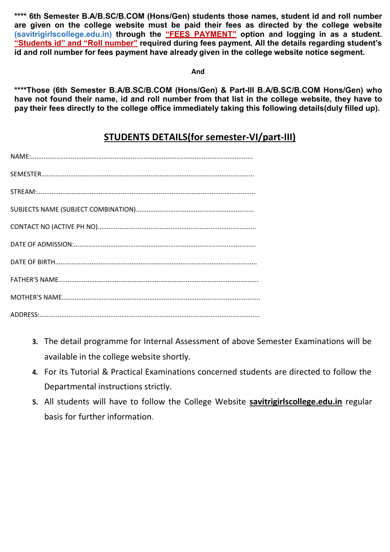**\*\*\*\* 6th Semester B.A/B.SC/B.COM (Hons/Gen) students those names, student id and roll number are given on the college website must be paid their fees as directed by the college website (savitrigirlscollege.edu.in) through the "FEES PAYMENT" option and logging in as a student. "Students id" and "Roll number" required during fees payment. All the details regarding student's id and roll number for fees payment have already given in the college website notice segment.** 

**And** 

**\*\*\*\*Those (6th Semester B.A/B.SC/B.COM (Hons/Gen) & Part-III B.A/B.SC/B.COM Hons/Gen) who have not found their name, id and roll number from that list in the college website, they have to pay their fees directly to the college office immediately taking this following details(duly filled up).** 

## **STUDENTS DETAILS(for semester-VI/part-III)**

- **3.** The detail programme for Internal Assessment of above Semester Examinations will be available in the college website shortly.
- **4.** For its Tutorial & Practical Examinations concerned students are directed to follow the Departmental instructions strictly.
- **5.** All students will have to follow the College Website **savitrigirlscollege.edu.in** regular basis for further information.